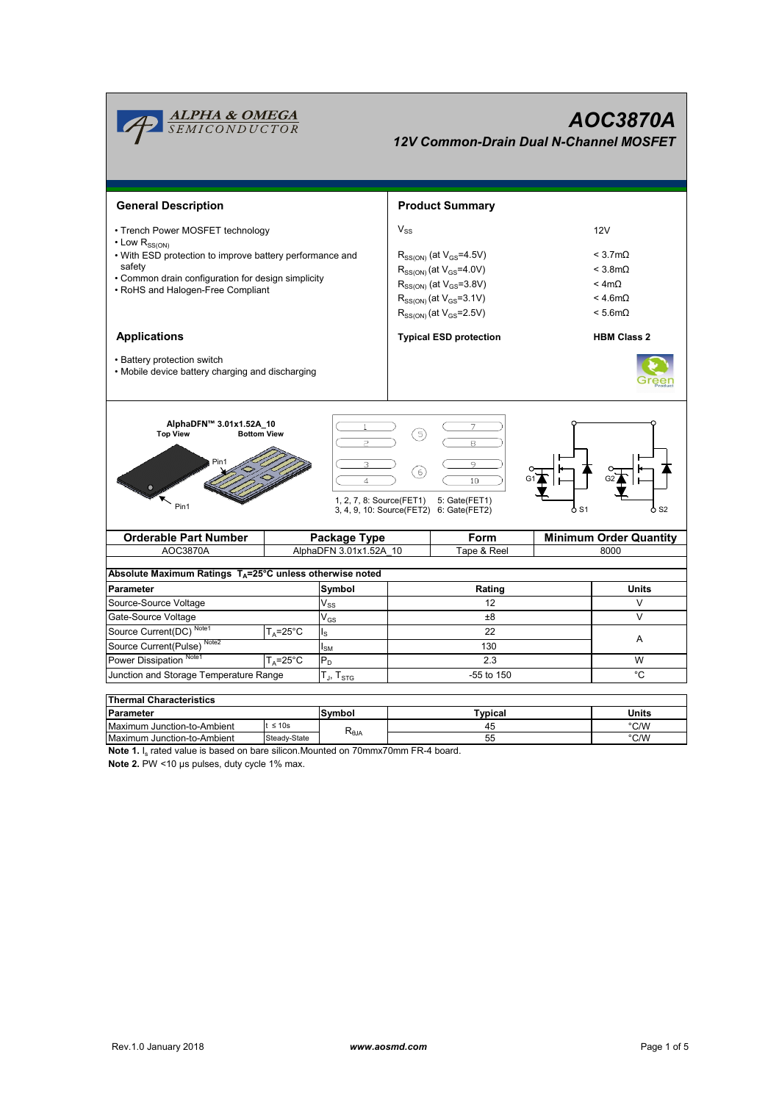

**Note 1.** I<sub>s</sub> rated value is based on bare silicon.Mounted on 70mmx70mm FR-4 board.

**Note 2.** PW <10 µs pulses, duty cycle 1% max.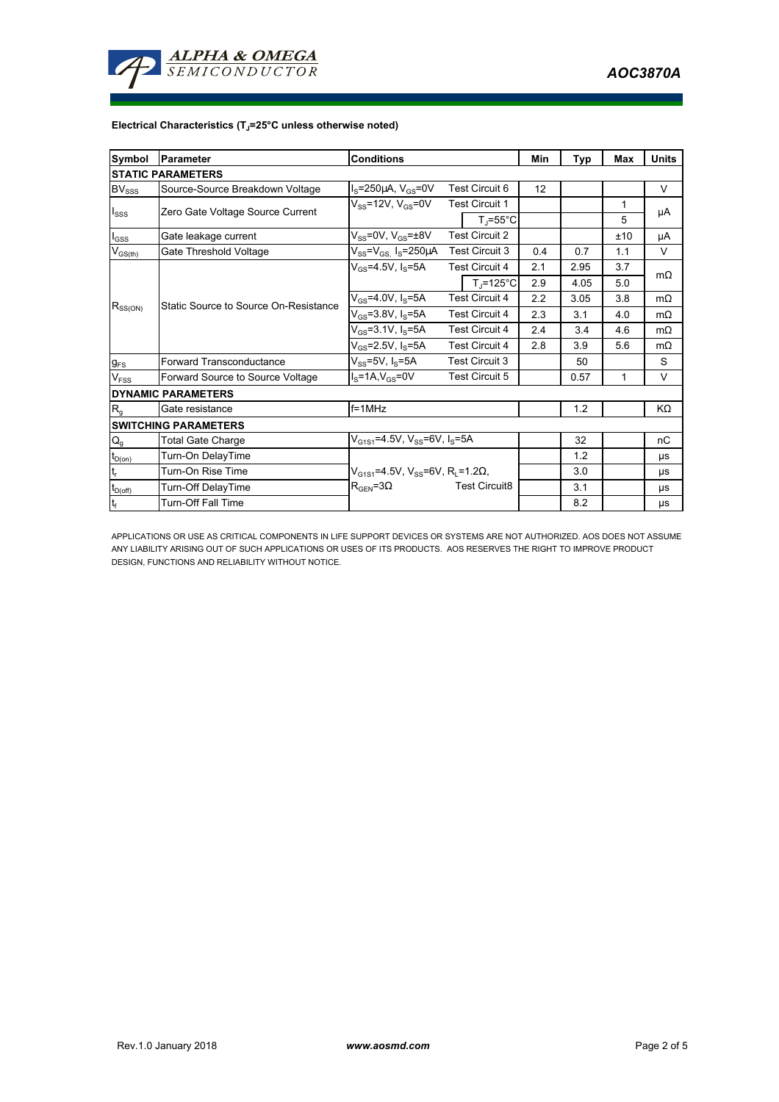

## **Electrical Characteristics (TJ=25°C unless otherwise noted)**

| <b>Symbol</b>               | Parameter                             | <b>Conditions</b>                                                     |                       |                                | Min | Typ  | Max | <b>Units</b> |
|-----------------------------|---------------------------------------|-----------------------------------------------------------------------|-----------------------|--------------------------------|-----|------|-----|--------------|
| <b>ISTATIC PARAMETERS</b>   |                                       |                                                                       |                       |                                |     |      |     |              |
| $BV_{SSS}$                  | Source-Source Breakdown Voltage       | $IS=250\mu A$ , $VGS=0V$                                              | <b>Test Circuit 6</b> |                                | 12  |      |     | V            |
| $I_{SSS}$                   | Zero Gate Voltage Source Current      | $V_{SS}$ =12V, $V_{GS}$ =0V                                           | <b>Test Circuit 1</b> |                                |     |      | 1   |              |
|                             |                                       |                                                                       |                       | $T_{\parallel} = 55^{\circ}$ C |     |      | 5   | μA           |
| $I_{GSS}$                   | Gate leakage current                  | $V_{SS}$ =0V, $V_{GS}$ = $\pm$ 8V                                     | <b>Test Circuit 2</b> |                                |     |      | ±10 | μA           |
| $V_{GS(th)}$                | Gate Threshold Voltage                | $V_{SS} = V_{GS}$ , $I_S = 250 \mu A$                                 |                       | <b>Test Circuit 3</b>          | 0.4 | 0.7  | 1.1 | V            |
| $R_{SS(ON)}$                | Static Source to Source On-Resistance | $V_{GS} = 4.5V, I_S = 5A$                                             |                       | <b>Test Circuit 4</b>          | 2.1 | 2.95 | 3.7 | $m\Omega$    |
|                             |                                       |                                                                       |                       | $T_i = 125^{\circ}C$           | 2.9 | 4.05 | 5.0 |              |
|                             |                                       | $V_{GS} = 4.0 V, I_S = 5A$                                            | <b>Test Circuit 4</b> |                                | 2.2 | 3.05 | 3.8 | $m\Omega$    |
|                             |                                       | $V_{GS} = 3.8 V, I_S = 5A$                                            | <b>Test Circuit 4</b> |                                | 2.3 | 3.1  | 4.0 | $m\Omega$    |
|                             |                                       | $V_{GS} = 3.1 V, I_S = 5A$                                            | <b>Test Circuit 4</b> |                                | 2.4 | 3.4  | 4.6 | $m\Omega$    |
|                             |                                       | $V_{GS}$ =2.5V, $I_S$ =5A                                             | <b>Test Circuit 4</b> |                                | 2.8 | 3.9  | 5.6 | $m\Omega$    |
| $g_{FS}$                    | Forward Transconductance              | $V_{SS}$ =5V, $I_S$ =5A                                               | <b>Test Circuit 3</b> |                                |     | 50   |     | S            |
| $V_{FSS}$                   | Forward Source to Source Voltage      | $Is=1A, VGS=0V$                                                       | <b>Test Circuit 5</b> |                                |     | 0.57 | 1   | V            |
| <b>DYNAMIC PARAMETERS</b>   |                                       |                                                                       |                       |                                |     |      |     |              |
| $R_q$                       | Gate resistance                       | $f = 1$ MHz                                                           |                       |                                |     | 1.2  |     | KΩ           |
| <b>SWITCHING PARAMETERS</b> |                                       |                                                                       |                       |                                |     |      |     |              |
| $\mathsf{Q}_{\mathsf{g}}$   | <b>Total Gate Charge</b>              | $V_{G1S1}$ =4.5V, V <sub>SS</sub> =6V, I <sub>S</sub> =5A             |                       |                                | 32  |      | nC  |              |
| $t_{D(on)}$                 | Turn-On DelayTime                     |                                                                       |                       |                                |     | 1.2  |     | μs           |
| $t_r$                       | Turn-On Rise Time                     | $V_{G1S1}$ =4.5V, V <sub>SS</sub> =6V, R <sub>L</sub> =1.2 $\Omega$ , |                       |                                |     | 3.0  |     | <b>US</b>    |
| $t_{D(off)}$                | Turn-Off DelayTime                    | $R_{\text{GEN}} = 3\Omega$                                            |                       | <b>Test Circuit8</b>           |     | 3.1  |     | <b>US</b>    |
| $\mathbf{t}_\text{f}$       | <b>Turn-Off Fall Time</b>             |                                                                       |                       |                                |     | 8.2  |     | μs           |

APPLICATIONS OR USE AS CRITICAL COMPONENTS IN LIFE SUPPORT DEVICES OR SYSTEMS ARE NOT AUTHORIZED. AOS DOES NOT ASSUME ANY LIABILITY ARISING OUT OF SUCH APPLICATIONS OR USES OF ITS PRODUCTS. AOS RESERVES THE RIGHT TO IMPROVE PRODUCT DESIGN, FUNCTIONS AND RELIABILITY WITHOUT NOTICE.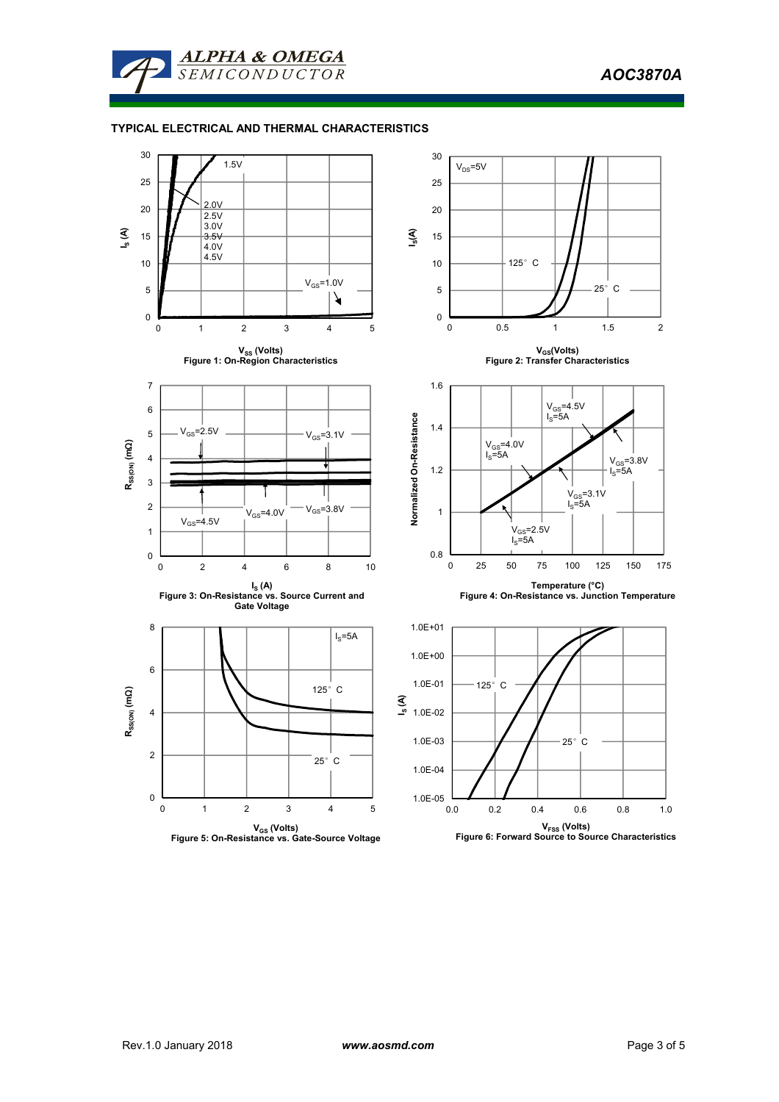*AOC3870A* 



## **TYPICAL ELECTRICAL AND THERMAL CHARACTERISTICS**

**ALPHA & OMEGA** 

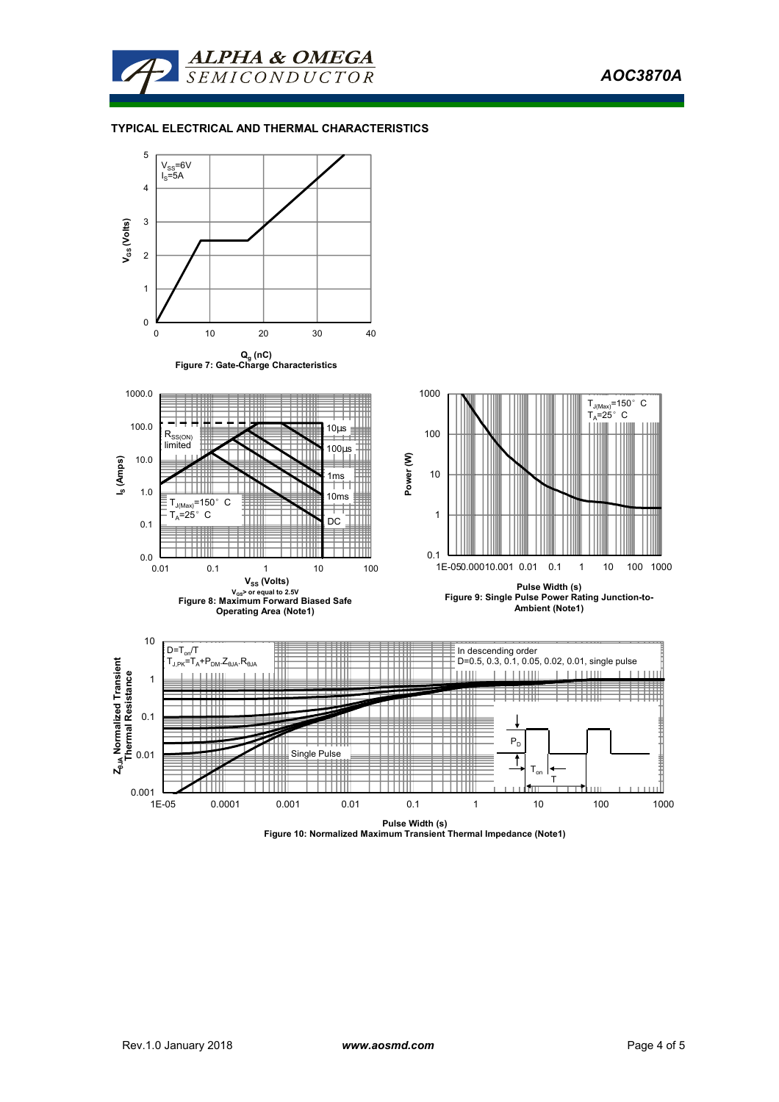



## **TYPICAL ELECTRICAL AND THERMAL CHARACTERISTICS**